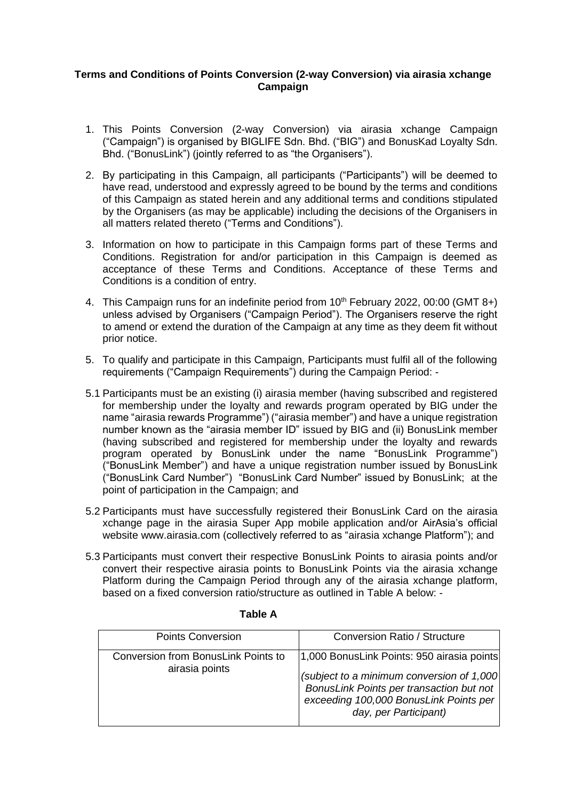## **Terms and Conditions of Points Conversion (2-way Conversion) via airasia xchange Campaign**

- 1. This Points Conversion (2-way Conversion) via airasia xchange Campaign ("Campaign") is organised by BIGLIFE Sdn. Bhd. ("BIG") and BonusKad Loyalty Sdn. Bhd. ("BonusLink") (jointly referred to as "the Organisers").
- 2. By participating in this Campaign, all participants ("Participants") will be deemed to have read, understood and expressly agreed to be bound by the terms and conditions of this Campaign as stated herein and any additional terms and conditions stipulated by the Organisers (as may be applicable) including the decisions of the Organisers in all matters related thereto ("Terms and Conditions").
- 3. Information on how to participate in this Campaign forms part of these Terms and Conditions. Registration for and/or participation in this Campaign is deemed as acceptance of these Terms and Conditions. Acceptance of these Terms and Conditions is a condition of entry.
- 4. This Campaign runs for an indefinite period from 10<sup>th</sup> February 2022, 00:00 (GMT 8+) unless advised by Organisers ("Campaign Period"). The Organisers reserve the right to amend or extend the duration of the Campaign at any time as they deem fit without prior notice.
- 5. To qualify and participate in this Campaign, Participants must fulfil all of the following requirements ("Campaign Requirements") during the Campaign Period: -
- 5.1 Participants must be an existing (i) airasia member (having subscribed and registered for membership under the loyalty and rewards program operated by BIG under the name "airasia rewards Programme") ("airasia member") and have a unique registration number known as the "airasia member ID" issued by BIG and (ii) BonusLink member (having subscribed and registered for membership under the loyalty and rewards program operated by BonusLink under the name "BonusLink Programme") ("BonusLink Member") and have a unique registration number issued by BonusLink ("BonusLink Card Number") "BonusLink Card Number" issued by BonusLink; at the point of participation in the Campaign; and
- 5.2 Participants must have successfully registered their BonusLink Card on the airasia xchange page in the airasia Super App mobile application and/or AirAsia's official website [www.airasia.com](http://www.airasia.com/) (collectively referred to as "airasia xchange Platform"); and
- 5.3 Participants must convert their respective BonusLink Points to airasia points and/or convert their respective airasia points to BonusLink Points via the airasia xchange Platform during the Campaign Period through any of the airasia xchange platform, based on a fixed conversion ratio/structure as outlined in Table A below: -

| <b>Points Conversion</b>                              | <b>Conversion Ratio / Structure</b>                                                                                                                                                                     |
|-------------------------------------------------------|---------------------------------------------------------------------------------------------------------------------------------------------------------------------------------------------------------|
| Conversion from BonusLink Points to<br>airasia points | 1,000 BonusLink Points: 950 airasia points<br>(subject to a minimum conversion of 1,000)<br>BonusLink Points per transaction but not<br>exceeding 100,000 BonusLink Points per<br>day, per Participant) |

## **Table A**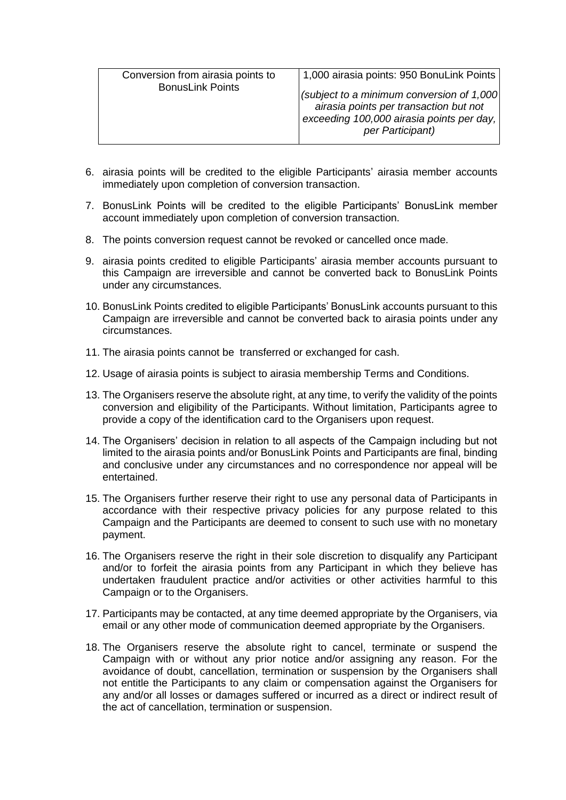| Conversion from airasia points to | 1,000 airasia points: 950 BonuLink Points                                                                                                             |
|-----------------------------------|-------------------------------------------------------------------------------------------------------------------------------------------------------|
| <b>BonusLink Points</b>           | (subject to a minimum conversion of 1,000)<br>airasia points per transaction but not<br>exceeding 100,000 airasia points per day,<br>per Participant) |

- 6. airasia points will be credited to the eligible Participants' airasia member accounts immediately upon completion of conversion transaction.
- 7. BonusLink Points will be credited to the eligible Participants' BonusLink member account immediately upon completion of conversion transaction.
- 8. The points conversion request cannot be revoked or cancelled once made.
- 9. airasia points credited to eligible Participants' airasia member accounts pursuant to this Campaign are irreversible and cannot be converted back to BonusLink Points under any circumstances.
- 10. BonusLink Points credited to eligible Participants' BonusLink accounts pursuant to this Campaign are irreversible and cannot be converted back to airasia points under any circumstances.
- 11. The airasia points cannot be transferred or exchanged for cash.
- 12. Usage of airasia points is subject to airasia membership Terms and Conditions.
- 13. The Organisers reserve the absolute right, at any time, to verify the validity of the points conversion and eligibility of the Participants. Without limitation, Participants agree to provide a copy of the identification card to the Organisers upon request.
- 14. The Organisers' decision in relation to all aspects of the Campaign including but not limited to the airasia points and/or BonusLink Points and Participants are final, binding and conclusive under any circumstances and no correspondence nor appeal will be entertained.
- 15. The Organisers further reserve their right to use any personal data of Participants in accordance with their respective privacy policies for any purpose related to this Campaign and the Participants are deemed to consent to such use with no monetary payment.
- 16. The Organisers reserve the right in their sole discretion to disqualify any Participant and/or to forfeit the airasia points from any Participant in which they believe has undertaken fraudulent practice and/or activities or other activities harmful to this Campaign or to the Organisers.
- 17. Participants may be contacted, at any time deemed appropriate by the Organisers, via email or any other mode of communication deemed appropriate by the Organisers.
- 18. The Organisers reserve the absolute right to cancel, terminate or suspend the Campaign with or without any prior notice and/or assigning any reason. For the avoidance of doubt, cancellation, termination or suspension by the Organisers shall not entitle the Participants to any claim or compensation against the Organisers for any and/or all losses or damages suffered or incurred as a direct or indirect result of the act of cancellation, termination or suspension.